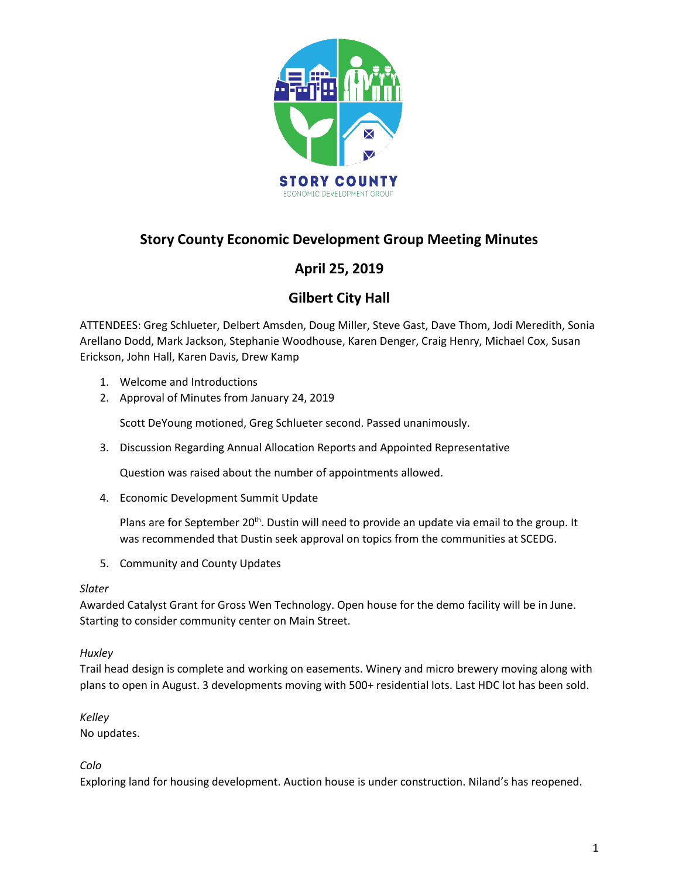

# **Story County Economic Development Group Meeting Minutes**

# **April 25, 2019**

# **Gilbert City Hall**

ATTENDEES: Greg Schlueter, Delbert Amsden, Doug Miller, Steve Gast, Dave Thom, Jodi Meredith, Sonia Arellano Dodd, Mark Jackson, Stephanie Woodhouse, Karen Denger, Craig Henry, Michael Cox, Susan Erickson, John Hall, Karen Davis, Drew Kamp

- 1. Welcome and Introductions
- 2. Approval of Minutes from January 24, 2019

Scott DeYoung motioned, Greg Schlueter second. Passed unanimously.

3. Discussion Regarding Annual Allocation Reports and Appointed Representative

Question was raised about the number of appointments allowed.

4. Economic Development Summit Update

Plans are for September 20<sup>th</sup>. Dustin will need to provide an update via email to the group. It was recommended that Dustin seek approval on topics from the communities at SCEDG.

5. Community and County Updates

## *Slater*

Awarded Catalyst Grant for Gross Wen Technology. Open house for the demo facility will be in June. Starting to consider community center on Main Street.

## *Huxley*

Trail head design is complete and working on easements. Winery and micro brewery moving along with plans to open in August. 3 developments moving with 500+ residential lots. Last HDC lot has been sold.

*Kelley* 

No updates.

*Colo* 

Exploring land for housing development. Auction house is under construction. Niland's has reopened.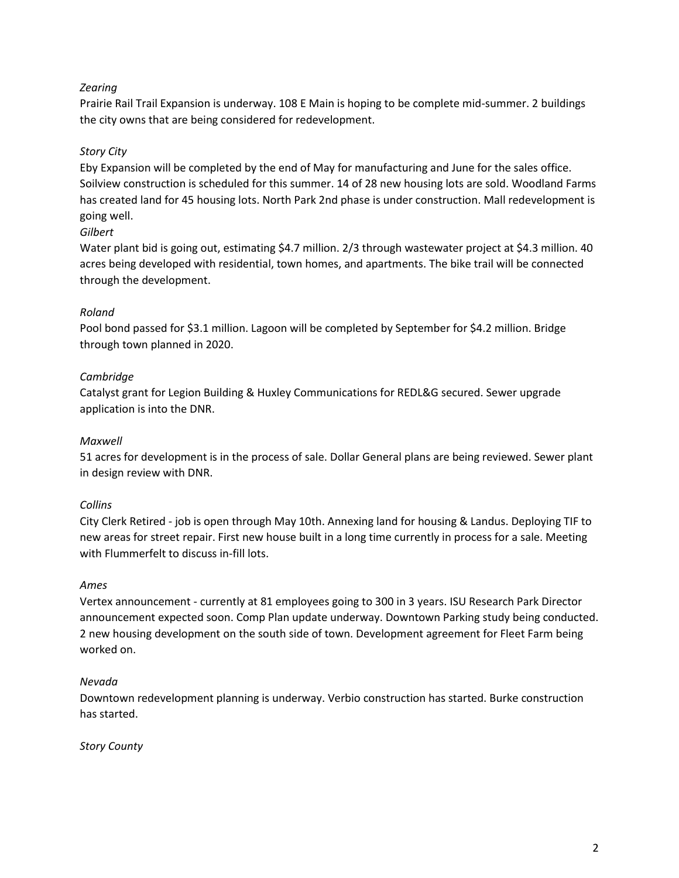## *Zearing*

Prairie Rail Trail Expansion is underway. 108 E Main is hoping to be complete mid-summer. 2 buildings the city owns that are being considered for redevelopment.

## *Story City*

Eby Expansion will be completed by the end of May for manufacturing and June for the sales office. Soilview construction is scheduled for this summer. 14 of 28 new housing lots are sold. Woodland Farms has created land for 45 housing lots. North Park 2nd phase is under construction. Mall redevelopment is going well.

#### *Gilbert*

Water plant bid is going out, estimating \$4.7 million. 2/3 through wastewater project at \$4.3 million. 40 acres being developed with residential, town homes, and apartments. The bike trail will be connected through the development.

### *Roland*

Pool bond passed for \$3.1 million. Lagoon will be completed by September for \$4.2 million. Bridge through town planned in 2020.

### *Cambridge*

Catalyst grant for Legion Building & Huxley Communications for REDL&G secured. Sewer upgrade application is into the DNR.

#### *Maxwell*

51 acres for development is in the process of sale. Dollar General plans are being reviewed. Sewer plant in design review with DNR.

#### *Collins*

City Clerk Retired - job is open through May 10th. Annexing land for housing & Landus. Deploying TIF to new areas for street repair. First new house built in a long time currently in process for a sale. Meeting with Flummerfelt to discuss in-fill lots.

#### *Ames*

Vertex announcement - currently at 81 employees going to 300 in 3 years. ISU Research Park Director announcement expected soon. Comp Plan update underway. Downtown Parking study being conducted. 2 new housing development on the south side of town. Development agreement for Fleet Farm being worked on.

#### *Nevada*

Downtown redevelopment planning is underway. Verbio construction has started. Burke construction has started.

*Story County*